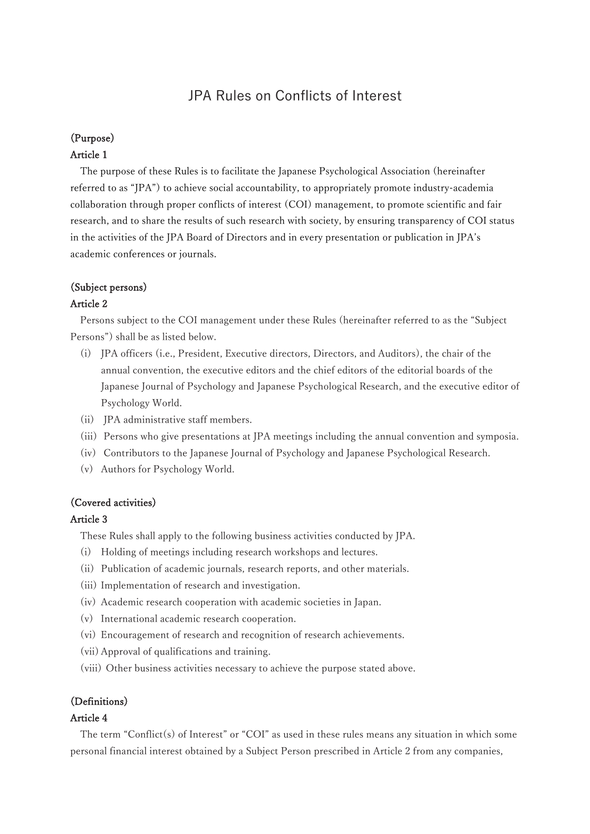# JPA Rules on Conflicts of Interest

## (Purpose)

#### Article 1

The purpose of these Rules is to facilitate the Japanese Psychological Association (hereinafter referred to as "JPA") to achieve social accountability, to appropriately promote industry-academia collaboration through proper conflicts of interest (COI) management, to promote scientific and fair research, and to share the results of such research with society, by ensuring transparency of COI status in the activities of the JPA Board of Directors and in every presentation or publication in JPA's academic conferences or journals.

## (Subject persons)

#### Article 2

Persons subject to the COI management under these Rules (hereinafter referred to as the "Subject Persons") shall be as listed below.

- (i) JPA officers (i.e., President, Executive directors, Directors, and Auditors), the chair of the annual convention, the executive editors and the chief editors of the editorial boards of the Japanese Journal of Psychology and Japanese Psychological Research, and the executive editor of Psychology World.
- (ii) JPA administrative staff members.
- (iii) Persons who give presentations at JPA meetings including the annual convention and symposia.
- (iv) Contributors to the Japanese Journal of Psychology and Japanese Psychological Research.
- (v) Authors for Psychology World.

### (Covered activities)

### Article 3

These Rules shall apply to the following business activities conducted by JPA.

- (i) Holding of meetings including research workshops and lectures.
- (ii) Publication of academic journals, research reports, and other materials.
- (iii) Implementation of research and investigation.
- (iv) Academic research cooperation with academic societies in Japan.
- (v) International academic research cooperation.
- (vi) Encouragement of research and recognition of research achievements.
- (vii) Approval of qualifications and training.
- (viii) Other business activities necessary to achieve the purpose stated above.

### (Definitions)

#### Article 4

The term "Conflict(s) of Interest" or "COI" as used in these rules means any situation in which some personal financial interest obtained by a Subject Person prescribed in Article 2 from any companies,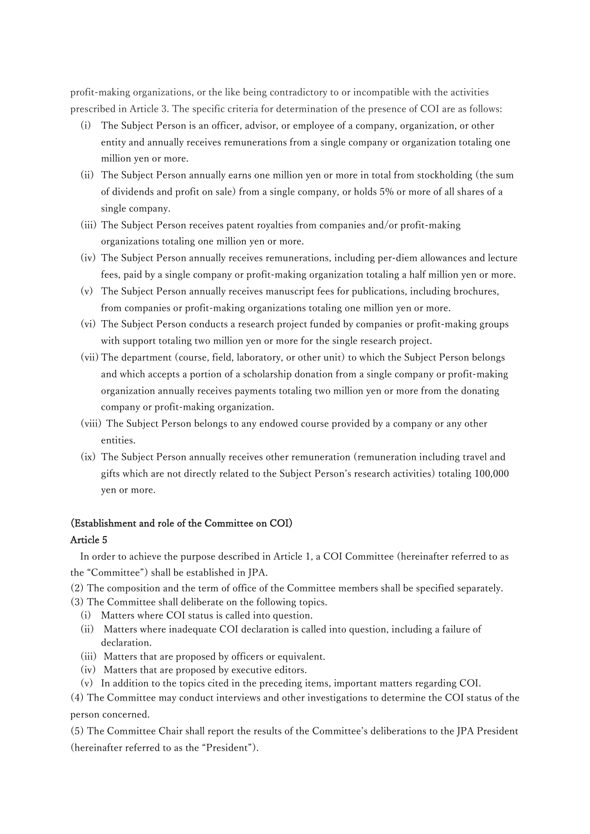profit-making organizations, or the like being contradictory to or incompatible with the activities prescribed in Article 3. The specific criteria for determination of the presence of COI are as follows:

- (i) The Subject Person is an officer, advisor, or employee of a company, organization, or other entity and annually receives remunerations from a single company or organization totaling one million yen or more.
- (ii) The Subject Person annually earns one million yen or more in total from stockholding (the sum of dividends and profit on sale) from a single company, or holds 5% or more of all shares of a single company.
- (iii) The Subject Person receives patent royalties from companies and/or profit-making organizations totaling one million yen or more.
- (iv) The Subject Person annually receives remunerations, including per-diem allowances and lecture fees, paid by a single company or profit-making organization totaling a half million yen or more.
- (v) The Subject Person annually receives manuscript fees for publications, including brochures, from companies or profit-making organizations totaling one million yen or more.
- (vi) The Subject Person conducts a research project funded by companies or profit-making groups with support totaling two million yen or more for the single research project.
- (vii) The department (course, field, laboratory, or other unit) to which the Subject Person belongs and which accepts a portion of a scholarship donation from a single company or profit-making organization annually receives payments totaling two million yen or more from the donating company or profit-making organization.
- (viii) The Subject Person belongs to any endowed course provided by a company or any other entities.
- (ix) The Subject Person annually receives other remuneration (remuneration including travel and gifts which are not directly related to the Subject Person's research activities) totaling 100,000 yen or more.

### (Establishment and role of the Committee on COI)

### Article 5

In order to achieve the purpose described in Article 1, a COI Committee (hereinafter referred to as the "Committee") shall be established in JPA.

- (2) The composition and the term of office of the Committee members shall be specified separately.
- (3) The Committee shall deliberate on the following topics.
	- (i) Matters where COI status is called into question.
	- (ii) Matters where inadequate COI declaration is called into question, including a failure of declaration.
	- (iii) Matters that are proposed by officers or equivalent.
	- (iv) Matters that are proposed by executive editors.
	- (v) In addition to the topics cited in the preceding items, important matters regarding COI.
- (4) The Committee may conduct interviews and other investigations to determine the COI status of the person concerned.

(5) The Committee Chair shall report the results of the Committee's deliberations to the JPA President (hereinafter referred to as the "President").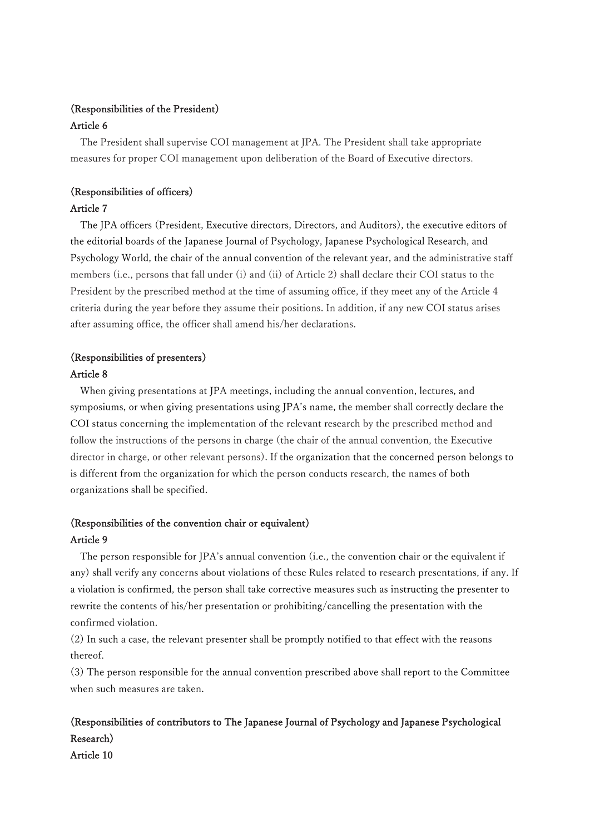## (Responsibilities of the President) Article 6

The President shall supervise COI management at JPA. The President shall take appropriate measures for proper COI management upon deliberation of the Board of Executive directors.

## (Responsibilities of officers)

## Article 7

The JPA officers (President, Executive directors, Directors, and Auditors), the executive editors of the editorial boards of the Japanese Journal of Psychology, Japanese Psychological Research, and Psychology World, the chair of the annual convention of the relevant year, and the administrative staff members (i.e., persons that fall under (i) and (ii) of Article 2) shall declare their COI status to the President by the prescribed method at the time of assuming office, if they meet any of the Article 4 criteria during the year before they assume their positions. In addition, if any new COI status arises after assuming office, the officer shall amend his/her declarations.

## (Responsibilities of presenters) Article 8

When giving presentations at JPA meetings, including the annual convention, lectures, and symposiums, or when giving presentations using JPA's name, the member shall correctly declare the COI status concerning the implementation of the relevant research by the prescribed method and follow the instructions of the persons in charge (the chair of the annual convention, the Executive director in charge, or other relevant persons). If the organization that the concerned person belongs to is different from the organization for which the person conducts research, the names of both organizations shall be specified.

# (Responsibilities of the convention chair or equivalent)

## Article 9

The person responsible for JPA's annual convention (i.e., the convention chair or the equivalent if any) shall verify any concerns about violations of these Rules related to research presentations, if any. If a violation is confirmed, the person shall take corrective measures such as instructing the presenter to rewrite the contents of his/her presentation or prohibiting/cancelling the presentation with the confirmed violation.

(2) In such a case, the relevant presenter shall be promptly notified to that effect with the reasons thereof.

(3) The person responsible for the annual convention prescribed above shall report to the Committee when such measures are taken.

# (Responsibilities of contributors to The Japanese Journal of Psychology and Japanese Psychological Research) Article 10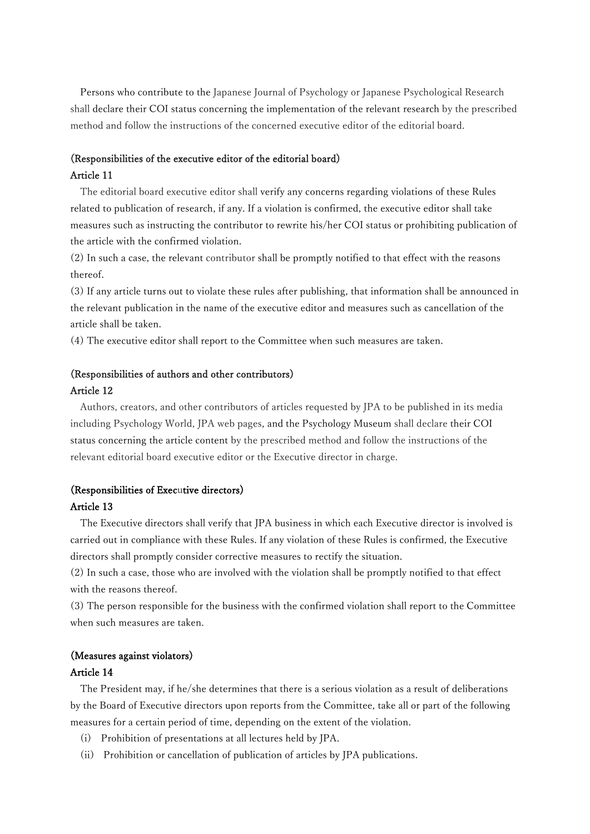Persons who contribute to the Japanese Journal of Psychology or Japanese Psychological Research shall declare their COI status concerning the implementation of the relevant research by the prescribed method and follow the instructions of the concerned executive editor of the editorial board.

## (Responsibilities of the executive editor of the editorial board) Article 11

The editorial board executive editor shall verify any concerns regarding violations of these Rules related to publication of research, if any. If a violation is confirmed, the executive editor shall take measures such as instructing the contributor to rewrite his/her COI status or prohibiting publication of the article with the confirmed violation.

(2) In such a case, the relevant contributor shall be promptly notified to that effect with the reasons thereof.

(3) If any article turns out to violate these rules after publishing, that information shall be announced in the relevant publication in the name of the executive editor and measures such as cancellation of the article shall be taken.

(4) The executive editor shall report to the Committee when such measures are taken.

# (Responsibilities of authors and other contributors)

#### Article 12

Authors, creators, and other contributors of articles requested by JPA to be published in its media including Psychology World, JPA web pages, and the Psychology Museum shall declare their COI status concerning the article content by the prescribed method and follow the instructions of the relevant editorial board executive editor or the Executive director in charge.

#### (Responsibilities of Executive directors)

## Article 13

The Executive directors shall verify that JPA business in which each Executive director is involved is carried out in compliance with these Rules. If any violation of these Rules is confirmed, the Executive directors shall promptly consider corrective measures to rectify the situation.

(2) In such a case, those who are involved with the violation shall be promptly notified to that effect with the reasons thereof.

(3) The person responsible for the business with the confirmed violation shall report to the Committee when such measures are taken.

## (Measures against violators)

#### Article 14

The President may, if he/she determines that there is a serious violation as a result of deliberations by the Board of Executive directors upon reports from the Committee, take all or part of the following measures for a certain period of time, depending on the extent of the violation.

- (i) Prohibition of presentations at all lectures held by JPA.
- (ii) Prohibition or cancellation of publication of articles by JPA publications.